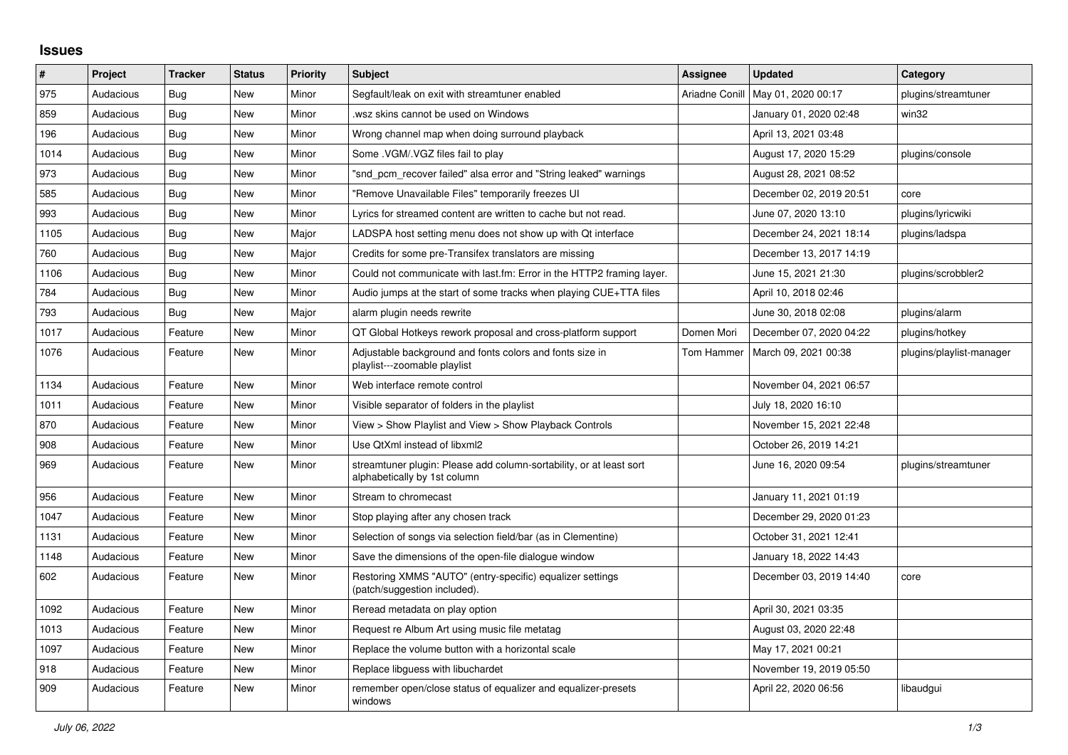## **Issues**

| $\vert$ # | Project   | <b>Tracker</b> | <b>Status</b> | <b>Priority</b> | <b>Subject</b>                                                                                      | Assignee       | <b>Updated</b>          | Category                 |
|-----------|-----------|----------------|---------------|-----------------|-----------------------------------------------------------------------------------------------------|----------------|-------------------------|--------------------------|
| 975       | Audacious | Bug            | <b>New</b>    | Minor           | Segfault/leak on exit with streamtuner enabled                                                      | Ariadne Conill | May 01, 2020 00:17      | plugins/streamtuner      |
| 859       | Audacious | <b>Bug</b>     | <b>New</b>    | Minor           | wsz skins cannot be used on Windows                                                                 |                | January 01, 2020 02:48  | win32                    |
| 196       | Audacious | <b>Bug</b>     | <b>New</b>    | Minor           | Wrong channel map when doing surround playback                                                      |                | April 13, 2021 03:48    |                          |
| 1014      | Audacious | <b>Bug</b>     | <b>New</b>    | Minor           | Some .VGM/.VGZ files fail to play                                                                   |                | August 17, 2020 15:29   | plugins/console          |
| 973       | Audacious | <b>Bug</b>     | <b>New</b>    | Minor           | "snd pcm recover failed" alsa error and "String leaked" warnings                                    |                | August 28, 2021 08:52   |                          |
| 585       | Audacious | <b>Bug</b>     | <b>New</b>    | Minor           | "Remove Unavailable Files" temporarily freezes UI                                                   |                | December 02, 2019 20:51 | core                     |
| 993       | Audacious | <b>Bug</b>     | <b>New</b>    | Minor           | Lyrics for streamed content are written to cache but not read.                                      |                | June 07, 2020 13:10     | plugins/lyricwiki        |
| 1105      | Audacious | Bug            | New           | Major           | LADSPA host setting menu does not show up with Qt interface                                         |                | December 24, 2021 18:14 | plugins/ladspa           |
| 760       | Audacious | Bug            | <b>New</b>    | Major           | Credits for some pre-Transifex translators are missing                                              |                | December 13, 2017 14:19 |                          |
| 1106      | Audacious | Bug            | New           | Minor           | Could not communicate with last.fm: Error in the HTTP2 framing layer.                               |                | June 15, 2021 21:30     | plugins/scrobbler2       |
| 784       | Audacious | <b>Bug</b>     | <b>New</b>    | Minor           | Audio jumps at the start of some tracks when playing CUE+TTA files                                  |                | April 10, 2018 02:46    |                          |
| 793       | Audacious | <b>Bug</b>     | <b>New</b>    | Major           | alarm plugin needs rewrite                                                                          |                | June 30, 2018 02:08     | plugins/alarm            |
| 1017      | Audacious | Feature        | <b>New</b>    | Minor           | QT Global Hotkeys rework proposal and cross-platform support                                        | Domen Mori     | December 07, 2020 04:22 | plugins/hotkey           |
| 1076      | Audacious | Feature        | <b>New</b>    | Minor           | Adjustable background and fonts colors and fonts size in<br>playlist---zoomable playlist            | Tom Hammer     | March 09, 2021 00:38    | plugins/playlist-manager |
| 1134      | Audacious | Feature        | <b>New</b>    | Minor           | Web interface remote control                                                                        |                | November 04, 2021 06:57 |                          |
| 1011      | Audacious | Feature        | <b>New</b>    | Minor           | Visible separator of folders in the playlist                                                        |                | July 18, 2020 16:10     |                          |
| 870       | Audacious | Feature        | New           | Minor           | View > Show Playlist and View > Show Playback Controls                                              |                | November 15, 2021 22:48 |                          |
| 908       | Audacious | Feature        | <b>New</b>    | Minor           | Use QtXml instead of libxml2                                                                        |                | October 26, 2019 14:21  |                          |
| 969       | Audacious | Feature        | <b>New</b>    | Minor           | streamtuner plugin: Please add column-sortability, or at least sort<br>alphabetically by 1st column |                | June 16, 2020 09:54     | plugins/streamtuner      |
| 956       | Audacious | Feature        | <b>New</b>    | Minor           | Stream to chromecast                                                                                |                | January 11, 2021 01:19  |                          |
| 1047      | Audacious | Feature        | <b>New</b>    | Minor           | Stop playing after any chosen track                                                                 |                | December 29, 2020 01:23 |                          |
| 1131      | Audacious | Feature        | New           | Minor           | Selection of songs via selection field/bar (as in Clementine)                                       |                | October 31, 2021 12:41  |                          |
| 1148      | Audacious | Feature        | New           | Minor           | Save the dimensions of the open-file dialogue window                                                |                | January 18, 2022 14:43  |                          |
| 602       | Audacious | Feature        | New           | Minor           | Restoring XMMS "AUTO" (entry-specific) equalizer settings<br>(patch/suggestion included).           |                | December 03, 2019 14:40 | core                     |
| 1092      | Audacious | Feature        | New           | Minor           | Reread metadata on play option                                                                      |                | April 30, 2021 03:35    |                          |
| 1013      | Audacious | Feature        | <b>New</b>    | Minor           | Request re Album Art using music file metatag                                                       |                | August 03, 2020 22:48   |                          |
| 1097      | Audacious | Feature        | <b>New</b>    | Minor           | Replace the volume button with a horizontal scale                                                   |                | May 17, 2021 00:21      |                          |
| 918       | Audacious | Feature        | New           | Minor           | Replace libguess with libuchardet                                                                   |                | November 19, 2019 05:50 |                          |
| 909       | Audacious | Feature        | <b>New</b>    | Minor           | remember open/close status of equalizer and equalizer-presets<br>windows                            |                | April 22, 2020 06:56    | libaudgui                |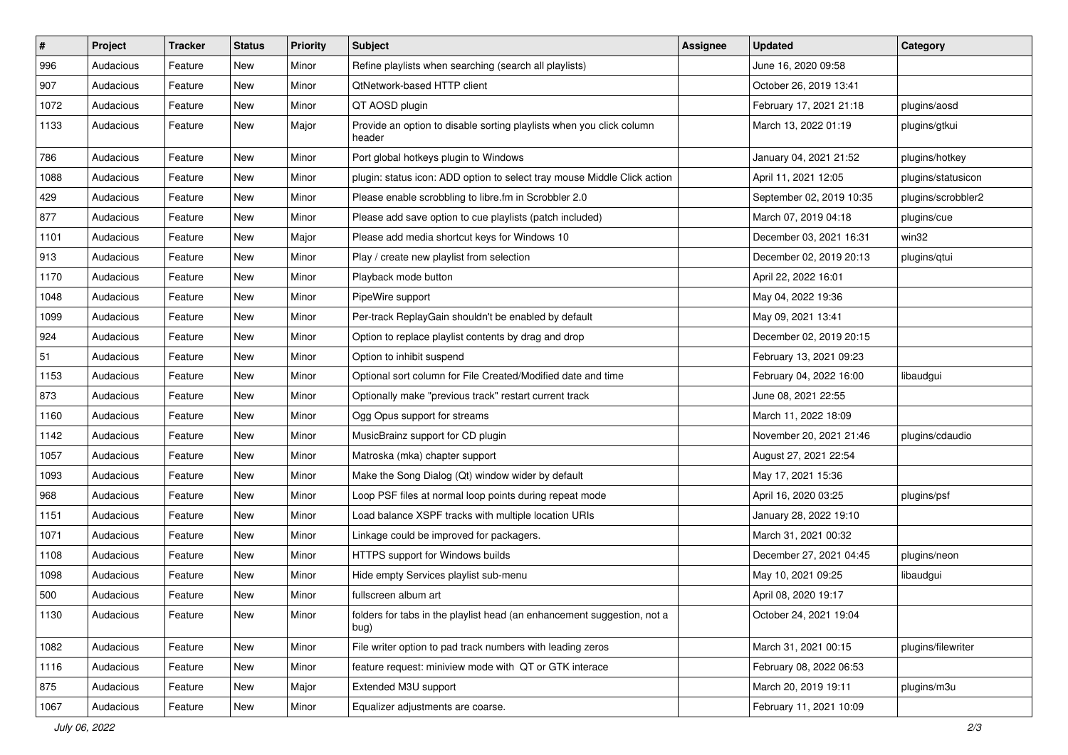| #    | Project   | <b>Tracker</b> | <b>Status</b> | <b>Priority</b> | Subject                                                                         | <b>Assignee</b> | <b>Updated</b>           | Category           |
|------|-----------|----------------|---------------|-----------------|---------------------------------------------------------------------------------|-----------------|--------------------------|--------------------|
| 996  | Audacious | Feature        | New           | Minor           | Refine playlists when searching (search all playlists)                          |                 | June 16, 2020 09:58      |                    |
| 907  | Audacious | Feature        | New           | Minor           | QtNetwork-based HTTP client                                                     |                 | October 26, 2019 13:41   |                    |
| 1072 | Audacious | Feature        | New           | Minor           | QT AOSD plugin                                                                  |                 | February 17, 2021 21:18  | plugins/aosd       |
| 1133 | Audacious | Feature        | New           | Major           | Provide an option to disable sorting playlists when you click column<br>header  |                 | March 13, 2022 01:19     | plugins/gtkui      |
| 786  | Audacious | Feature        | New           | Minor           | Port global hotkeys plugin to Windows                                           |                 | January 04, 2021 21:52   | plugins/hotkey     |
| 1088 | Audacious | Feature        | New           | Minor           | plugin: status icon: ADD option to select tray mouse Middle Click action        |                 | April 11, 2021 12:05     | plugins/statusicon |
| 429  | Audacious | Feature        | New           | Minor           | Please enable scrobbling to libre.fm in Scrobbler 2.0                           |                 | September 02, 2019 10:35 | plugins/scrobbler2 |
| 877  | Audacious | Feature        | New           | Minor           | Please add save option to cue playlists (patch included)                        |                 | March 07, 2019 04:18     | plugins/cue        |
| 1101 | Audacious | Feature        | New           | Major           | Please add media shortcut keys for Windows 10                                   |                 | December 03, 2021 16:31  | win32              |
| 913  | Audacious | Feature        | New           | Minor           | Play / create new playlist from selection                                       |                 | December 02, 2019 20:13  | plugins/qtui       |
| 1170 | Audacious | Feature        | New           | Minor           | Playback mode button                                                            |                 | April 22, 2022 16:01     |                    |
| 1048 | Audacious | Feature        | New           | Minor           | PipeWire support                                                                |                 | May 04, 2022 19:36       |                    |
| 1099 | Audacious | Feature        | New           | Minor           | Per-track ReplayGain shouldn't be enabled by default                            |                 | May 09, 2021 13:41       |                    |
| 924  | Audacious | Feature        | New           | Minor           | Option to replace playlist contents by drag and drop                            |                 | December 02, 2019 20:15  |                    |
| 51   | Audacious | Feature        | New           | Minor           | Option to inhibit suspend                                                       |                 | February 13, 2021 09:23  |                    |
| 1153 | Audacious | Feature        | New           | Minor           | Optional sort column for File Created/Modified date and time                    |                 | February 04, 2022 16:00  | libaudgui          |
| 873  | Audacious | Feature        | New           | Minor           | Optionally make "previous track" restart current track                          |                 | June 08, 2021 22:55      |                    |
| 1160 | Audacious | Feature        | New           | Minor           | Ogg Opus support for streams                                                    |                 | March 11, 2022 18:09     |                    |
| 1142 | Audacious | Feature        | New           | Minor           | MusicBrainz support for CD plugin                                               |                 | November 20, 2021 21:46  | plugins/cdaudio    |
| 1057 | Audacious | Feature        | New           | Minor           | Matroska (mka) chapter support                                                  |                 | August 27, 2021 22:54    |                    |
| 1093 | Audacious | Feature        | New           | Minor           | Make the Song Dialog (Qt) window wider by default                               |                 | May 17, 2021 15:36       |                    |
| 968  | Audacious | Feature        | New           | Minor           | Loop PSF files at normal loop points during repeat mode                         |                 | April 16, 2020 03:25     | plugins/psf        |
| 1151 | Audacious | Feature        | New           | Minor           | Load balance XSPF tracks with multiple location URIs                            |                 | January 28, 2022 19:10   |                    |
| 1071 | Audacious | Feature        | New           | Minor           | Linkage could be improved for packagers.                                        |                 | March 31, 2021 00:32     |                    |
| 1108 | Audacious | Feature        | New           | Minor           | HTTPS support for Windows builds                                                |                 | December 27, 2021 04:45  | plugins/neon       |
| 1098 | Audacious | Feature        | New           | Minor           | Hide empty Services playlist sub-menu                                           |                 | May 10, 2021 09:25       | libaudgui          |
| 500  | Audacious | Feature        | New           | Minor           | fullscreen album art                                                            |                 | April 08, 2020 19:17     |                    |
| 1130 | Audacious | Feature        | New           | Minor           | folders for tabs in the playlist head (an enhancement suggestion, not a<br>bug) |                 | October 24, 2021 19:04   |                    |
| 1082 | Audacious | Feature        | New           | Minor           | File writer option to pad track numbers with leading zeros                      |                 | March 31, 2021 00:15     | plugins/filewriter |
| 1116 | Audacious | Feature        | New           | Minor           | feature request: miniview mode with QT or GTK interace                          |                 | February 08, 2022 06:53  |                    |
| 875  | Audacious | Feature        | New           | Major           | Extended M3U support                                                            |                 | March 20, 2019 19:11     | plugins/m3u        |
| 1067 | Audacious | Feature        | New           | Minor           | Equalizer adjustments are coarse.                                               |                 | February 11, 2021 10:09  |                    |